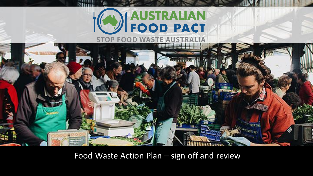



Food Waste Action Plan – sign off and review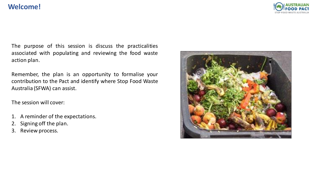## **Welcome!**



The purpose of this session is discuss the practicalities associated with populating and reviewing the food waste action plan.

Remember, the plan is an opportunity to formalise your contribution to the Pact and identify where Stop Food Waste Australia (SFWA) can assist.

The session will cover:

- 1. A reminder of the expectations.
- 2. Signing off the plan.
- 3. Review process.

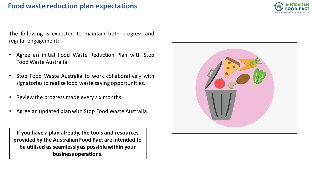## **Food waste reduction plan expectations**



The following is expected to maintain both progress and regular engagement:

- Agree an initial Food Waste Reduction Plan with Stop Food Waste Australia.
- Stop Food Waste Australia to work collaboratively with signatoriesto realise food waste saving opportunities.
- Review the progress made every six months.
- Agree an updated plan with Stop Food Waste Australia.

**If you have a plan already, the tools and resources provided by the Australian Food Pact are intended to be utilised as seamlessly as possible within your business operations.**

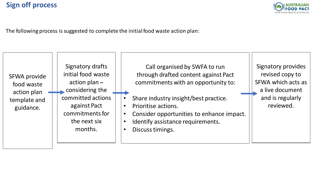

The following process is suggested to complete the initial food waste action plan: